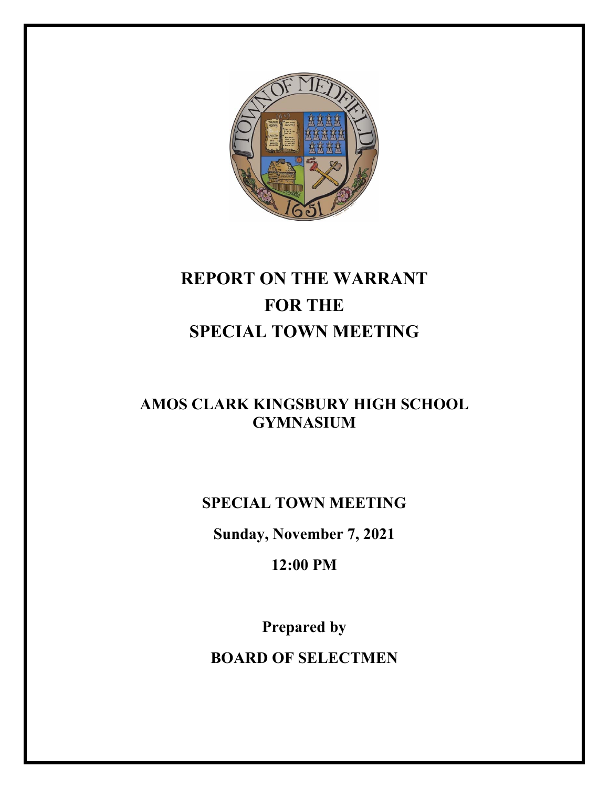

# **REPORT ON THE WARRANT FOR THE SPECIAL TOWN MEETING**

### **AMOS CLARK KINGSBURY HIGH SCHOOL GYMNASIUM**

**SPECIAL TOWN MEETING** 

**Sunday, November 7, 2021** 

**12:00 PM** 

**Prepared by BOARD OF SELECTMEN**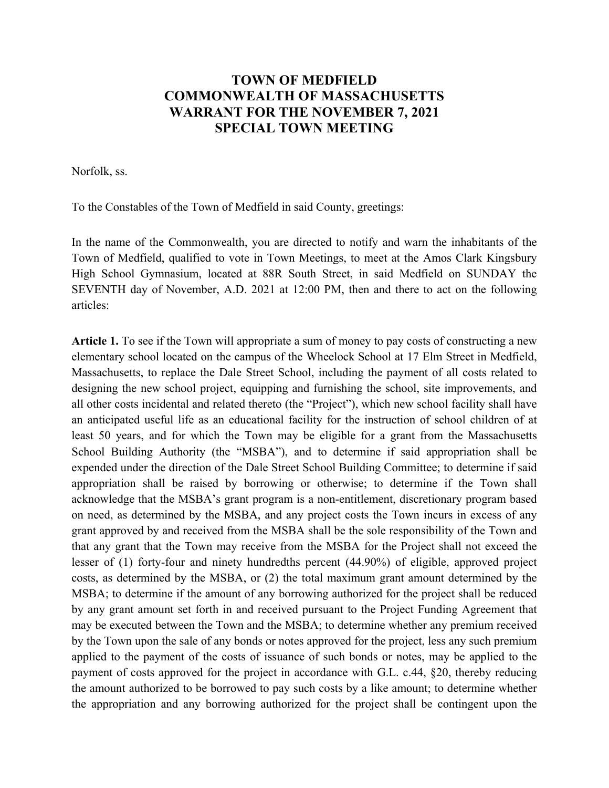### **TOWN OF MEDFIELD COMMONWEALTH OF MASSACHUSETTS WARRANT FOR THE NOVEMBER 7, 2021 SPECIAL TOWN MEETING**

Norfolk, ss.

To the Constables of the Town of Medfield in said County, greetings:

In the name of the Commonwealth, you are directed to notify and warn the inhabitants of the Town of Medfield, qualified to vote in Town Meetings, to meet at the Amos Clark Kingsbury High School Gymnasium, located at 88R South Street, in said Medfield on SUNDAY the SEVENTH day of November, A.D. 2021 at 12:00 PM, then and there to act on the following articles:

**Article 1.** To see if the Town will appropriate a sum of money to pay costs of constructing a new elementary school located on the campus of the Wheelock School at 17 Elm Street in Medfield, Massachusetts, to replace the Dale Street School, including the payment of all costs related to designing the new school project, equipping and furnishing the school, site improvements, and all other costs incidental and related thereto (the "Project"), which new school facility shall have an anticipated useful life as an educational facility for the instruction of school children of at least 50 years, and for which the Town may be eligible for a grant from the Massachusetts School Building Authority (the "MSBA"), and to determine if said appropriation shall be expended under the direction of the Dale Street School Building Committee; to determine if said appropriation shall be raised by borrowing or otherwise; to determine if the Town shall acknowledge that the MSBA's grant program is a non-entitlement, discretionary program based on need, as determined by the MSBA, and any project costs the Town incurs in excess of any grant approved by and received from the MSBA shall be the sole responsibility of the Town and that any grant that the Town may receive from the MSBA for the Project shall not exceed the lesser of (1) forty-four and ninety hundredths percent (44.90%) of eligible, approved project costs, as determined by the MSBA, or (2) the total maximum grant amount determined by the MSBA; to determine if the amount of any borrowing authorized for the project shall be reduced by any grant amount set forth in and received pursuant to the Project Funding Agreement that may be executed between the Town and the MSBA; to determine whether any premium received by the Town upon the sale of any bonds or notes approved for the project, less any such premium applied to the payment of the costs of issuance of such bonds or notes, may be applied to the payment of costs approved for the project in accordance with G.L. c.44, §20, thereby reducing the amount authorized to be borrowed to pay such costs by a like amount; to determine whether the appropriation and any borrowing authorized for the project shall be contingent upon the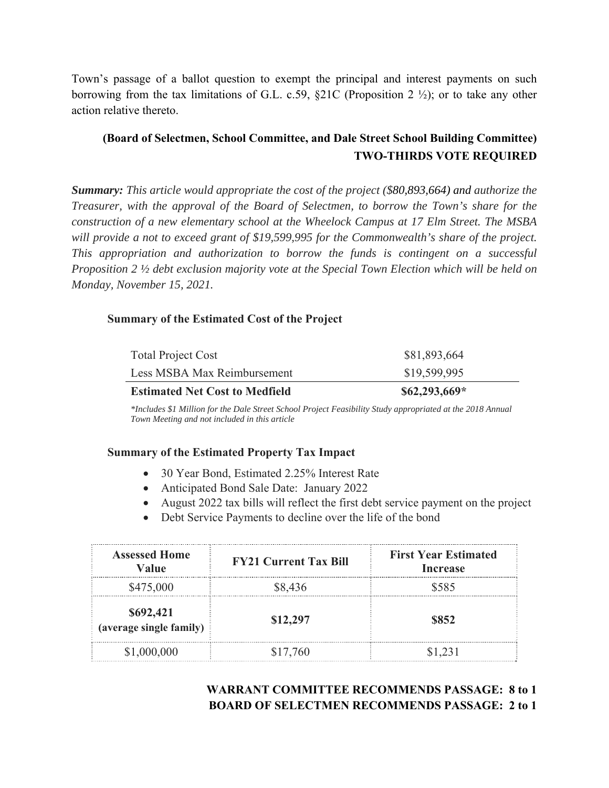Town's passage of a ballot question to exempt the principal and interest payments on such borrowing from the tax limitations of G.L. c.59, §21C (Proposition 2 ½); or to take any other action relative thereto.

### **(Board of Selectmen, School Committee, and Dale Street School Building Committee) TWO-THIRDS VOTE REQUIRED**

*Summary: This article would appropriate the cost of the project (\$80,893,664) and authorize the Treasurer, with the approval of the Board of Selectmen, to borrow the Town's share for the construction of a new elementary school at the Wheelock Campus at 17 Elm Street. The MSBA will provide a not to exceed grant of \$19,599,995 for the Commonwealth's share of the project. This appropriation and authorization to borrow the funds is contingent on a successful Proposition 2 ½ debt exclusion majority vote at the Special Town Election which will be held on Monday, November 15, 2021.* 

#### **Summary of the Estimated Cost of the Project**

| $$62,293,669*$ |
|----------------|
| \$19,599,995   |
| \$81,893,664   |
|                |

*\*Includes \$1 Million for the Dale Street School Project Feasibility Study appropriated at the 2018 Annual Town Meeting and not included in this article* 

#### **Summary of the Estimated Property Tax Impact**

- 30 Year Bond, Estimated 2.25% Interest Rate
- Anticipated Bond Sale Date: January 2022
- August 2022 tax bills will reflect the first debt service payment on the project
- Debt Service Payments to decline over the life of the bond

| <b>Assessed Home</b><br>Value        | <b>FY21 Current Tax Bill</b> | <b>First Year Estimated</b><br><b>Increase</b> |
|--------------------------------------|------------------------------|------------------------------------------------|
| \$475,000                            | \$8,436                      | \$585                                          |
| \$692,421<br>(average single family) | \$12,297                     | \$852                                          |
| \$1,000,000                          | \$17,760                     | \$1 231                                        |

### **WARRANT COMMITTEE RECOMMENDS PASSAGE: 8 to 1 BOARD OF SELECTMEN RECOMMENDS PASSAGE: 2 to 1**